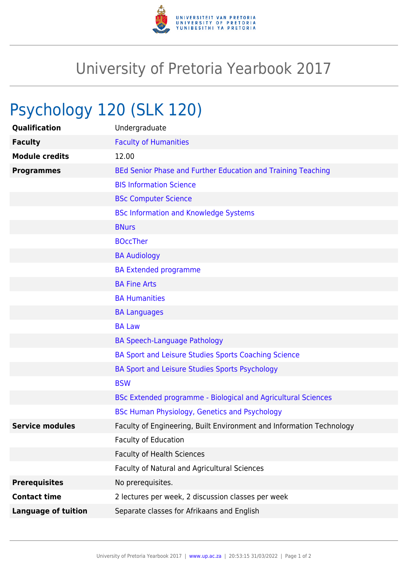

## University of Pretoria Yearbook 2017

## Psychology 120 (SLK 120)

| Qualification              | Undergraduate                                                        |
|----------------------------|----------------------------------------------------------------------|
| <b>Faculty</b>             | <b>Faculty of Humanities</b>                                         |
| <b>Module credits</b>      | 12.00                                                                |
| <b>Programmes</b>          | BEd Senior Phase and Further Education and Training Teaching         |
|                            | <b>BIS Information Science</b>                                       |
|                            | <b>BSc Computer Science</b>                                          |
|                            | <b>BSc Information and Knowledge Systems</b>                         |
|                            | <b>BNurs</b>                                                         |
|                            | <b>BOccTher</b>                                                      |
|                            | <b>BA Audiology</b>                                                  |
|                            | <b>BA Extended programme</b>                                         |
|                            | <b>BA Fine Arts</b>                                                  |
|                            | <b>BA Humanities</b>                                                 |
|                            | <b>BA Languages</b>                                                  |
|                            | <b>BA Law</b>                                                        |
|                            | <b>BA Speech-Language Pathology</b>                                  |
|                            | BA Sport and Leisure Studies Sports Coaching Science                 |
|                            | BA Sport and Leisure Studies Sports Psychology                       |
|                            | <b>BSW</b>                                                           |
|                            | BSc Extended programme - Biological and Agricultural Sciences        |
|                            | BSc Human Physiology, Genetics and Psychology                        |
| <b>Service modules</b>     | Faculty of Engineering, Built Environment and Information Technology |
|                            | <b>Faculty of Education</b>                                          |
|                            | <b>Faculty of Health Sciences</b>                                    |
|                            | Faculty of Natural and Agricultural Sciences                         |
| <b>Prerequisites</b>       | No prerequisites.                                                    |
| <b>Contact time</b>        | 2 lectures per week, 2 discussion classes per week                   |
| <b>Language of tuition</b> | Separate classes for Afrikaans and English                           |
|                            |                                                                      |